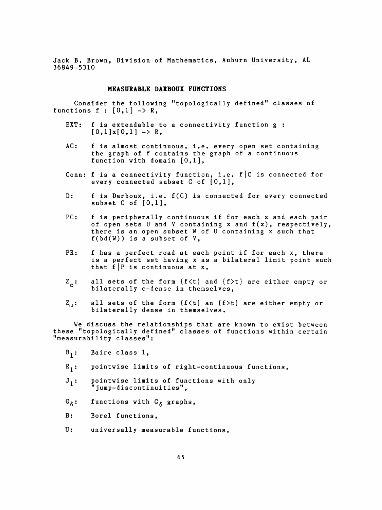Jack B. Brown, Division of Mathematics, Auburn University, AL 36849-5310

## MEASURABLE DARBOUX FUNCTIONS

 Consider the following "topologically defined" classes of functions  $f : [0,1] \rightarrow R$ ,

- EXT: f is extendable to a connectivity function g :  $[0,1] \times [0,1] \rightarrow R$ ,
- AC: f is almost continuous, i.e. every open set containing the graph of f contains the graph of a continuous function with domain [0,1],
- Conn: f is a connectivity function, i.e. f|C is connected for every connected subset  $C$  of  $[0,1]$ ,
- D: f is Darboux, i.e. f(C) is connected for every connected subset C of  $[0,1]$ ,
- PC: f is peripherally continuous if for each x and each pair of open sets U and V containing x and f(x), respectively, there is an open subset W of U containing x such that  $f(bd(W))$  is a subset of  $V$ ,
- PR: f has a perfect road at each point if for each x, there is a perfect set having x as a bilateral limit point such that  $\tilde{f} | P$  is continuous at x,
- $Z_{\sim}$ : all sets of the form (f<t) and (f>t) are either empty or bilaterally c-dense in themselves,
- $Z_{(n)}$ : all sets of the form (f<t) an (f>t) are either empty or bilaterally dense in themselves.

 We discuss the relationships that are known to exist between these "topologically defined" classes of functions within certain "measurability classes":

- $B_1:$  Baire class 1,
- $R_1$ : pointwise limits of right-continuous functions,
- $J_1:$  pointwise limits of functions with only "jump-discontinuities",
- $G_{\hat{\wedge}}$ : functions with  $G_{\hat{\wedge}}$  graphs,
- B: Borel functions,
- U: universally measurable functions,